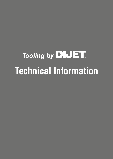# **Tooling by DIJET Technical Information**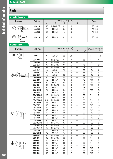## **Adjustable screw**

| <b>Drawings</b>           | Cat. No.       |     | Dimensions (mm) | Wrench |     |             |         |
|---------------------------|----------------|-----|-----------------|--------|-----|-------------|---------|
|                           |                | A   | B               | C      | D   | $a^{\circ}$ |         |
|                           | <b>ASW-113</b> | 4.8 | No.10-32UNF     | 12.7   | 4.8 |             | AD-1845 |
| PA.<br>₩<br>—⊙— ∞!<br>ᅕ   | <b>ADS-513</b> | 7.8 | $M5\times0.5$   | 13.0   | 5.0 |             | AD-2080 |
| று                        | <b>ADS-514</b> | 5.6 | $M5\times0.5$   | 14.5   | 6.5 |             | AD-2080 |
| ΑÓ,<br>39<br>⊕⊣<br>≘<br>고 | ASW-513        | 9.0 | $M5\times0.5$   | 13.0   | 5.0 |             | AD-1845 |

## **Clamp screw**

| <b>Drawings</b>          | Cat. No.         |                  |                    | Dimensions (mm)  |                  |                          |                 | Wrench            | Recommended          |
|--------------------------|------------------|------------------|--------------------|------------------|------------------|--------------------------|-----------------|-------------------|----------------------|
|                          |                  | $\overline{A}$   | $\overline{B}$     | C                | $\overline{D}$   | E                        | $a^{\circ}$     |                   | torque $(N \cdot m)$ |
|                          | CB3540           | 9.0              | $M3.5\times0.6$    | 6.3              | 2.3              |                          |                 | $T-15$            | 2.1                  |
|                          | <b>CSW-1838</b>  | 2.7              | M1.8×0.35          | $\overline{3.7}$ | $\overline{1.8}$ |                          | 55              | $\overline{T-6}$  | 0.25                 |
|                          | <b>CSW-206</b>   | 3.5              | M2.5×0.45          | 5.0              | 2.4              | $\overline{\phantom{0}}$ | 55              | $T-8$             | 0.9                  |
|                          | <b>CSW-2542</b>  | 3.0              | M2.5×0.45          | 4.2              | 2.5              |                          | 43              | $T-7$             | 0.9                  |
|                          | <b>CSW-2547</b>  | 3.4              | M2.5×0.45          | 4.7              | 2.5              |                          | 43              | $T-7$             | 0.9                  |
|                          | <b>CSW-3570</b>  | 5.5              | $M3.5\times0.6$    | 7.0              | 3.5              | $\overline{\phantom{m}}$ | 55              | $T-15$            | 2.1                  |
|                          | <b>CSW-3575</b>  | 5.5              | $M3.5\times0.6$    | 7.5              | 3.5              |                          | 55              | $T-15$            | 2.1                  |
| ₹®<br>∞                  | <b>CSW-3595</b>  | 5.5              | $M3.5\times0.6$    | 9.5              | 3.5              |                          | 55              | $T-15$            | 2.1                  |
| D                        | <b>CSW-406H</b>  | 5.0              | $M4 \times 0.7$    | 6.0              | 3.6              |                          | 43              | $T-15$            | $\overline{3.6}$     |
| C                        | <b>CSW-407</b>   | 5.0              | $M4\times0.7$      | 7.0              | 3.6              |                          | 43              | $T-15$            | 3.6                  |
|                          | <b>CSW-408H</b>  | 5.0              | $M4\times0.7$      | 8.0              | $\overline{3.6}$ |                          | 43              | $T-15$            | $\overline{3.6}$     |
|                          | <b>CSW-4510</b>  | 6.6              | $M4.5 \times 0.75$ | 10.0             | 4.0              |                          | $\overline{57}$ | $T-20$            | 5.0                  |
|                          | <b>CSW-510</b>   | 6.4              | $M5\times0.8$      | 11.0             | 4.5              |                          | 43              | $T-20$            | 5.5                  |
|                          | <b>CSW-513H</b>  | 7.0              | $M5\times0.8$      | 13.0             | 4.4              |                          | 63              | $T-20$            | 5.5                  |
|                          | <b>CSW-515</b>   | 7.0              | $M5\times0.8$      | 15.0             | 5.0              | $\overline{\phantom{0}}$ | 63              | $T-20$            | $\overline{5.5}$     |
|                          | <b>DSW-1838H</b> | 2.5              | $M1.8 \times 0.35$ | 3.8              | 2.0              |                          | 55              | $T-6$             | 0.4                  |
|                          | <b>DSW-2045H</b> | $\overline{3.0}$ | $M2\times 0.4$     | 4.5              | 2.3              |                          | 60              | $\overline{T}$ -7 | 0.5                  |
|                          | <b>DSW-2563H</b> | 3.45             | $M2.5\times0.45$   | 6.3              | $\overline{2.6}$ |                          | $\overline{55}$ | $\overline{T-8}$  | $\overline{0.9}$     |
|                          | <b>DSW-306H</b>  | 4.3              | $M3\times0.5$      | 6.5              | $\overline{3.2}$ |                          | $\overline{55}$ | $T-10$            | $\overline{1.8}$     |
|                          | <b>DSW-307</b>   | 4.3              | $M3\times0.5$      | $\overline{7.5}$ | 2.8              |                          | $\overline{55}$ | $T-10$            | 1.4                  |
|                          | <b>DSW-307H</b>  | 4.3              | $M3\times0.5$      | $\overline{7.6}$ | $\overline{3.2}$ |                          | $\overline{55}$ | $T-10$            | 1.8                  |
|                          | <b>DSW-309H</b>  | 4.3              | $M3\times0.5$      | $\overline{9.0}$ | $\overline{3.2}$ |                          | $\overline{55}$ | $T-10$            | 1.8                  |
| \$]<br>മ്                | <b>DSW-4075</b>  | 5.2              | $M4\times0.7$      | $\overline{7.5}$ | $\overline{3.5}$ |                          | $\overline{55}$ | $T-15$            | $\overline{3.6}$     |
| D                        | <b>DSW-408</b>   | 6.0              | $M4\times0.7$      | 8.5              | 3.6              |                          | $\overline{55}$ | $T-15$            | $\overline{3.6}$     |
| Ċ                        | <b>DSW-4085</b>  | 5.3              | $M4\times0.7$      | 8.5              | 3.5              |                          | 55              | $T-15$            | 3.6                  |
|                          | <b>DSW-410H</b>  | 5.3              | $M4\times0.7$      | 10.0             | $\overline{3.7}$ |                          | 55              | $T-15$            | $\overline{3.6}$     |
|                          | <b>DSW-4510H</b> | 6.8              | M4.5×0.75          | 10.0             | 4.7              |                          | 55              | $T-20$            | 6.0                  |
|                          | <b>DSW-4512H</b> | 6.8              | M4.5×0.75          | 12.5             | 5.2              |                          | 55              | $T-20$            | 6.0                  |
|                          | <b>DSW-4515H</b> | 6.8              | $M4.5\times0.75$   | 15.5             | 5.2              |                          | 55              | $T-20$            | 6.0                  |
|                          | <b>DSW-509</b>   | 7.0              | $M5\times0.8$      | 9.5              | 4.9              | $\overline{\phantom{0}}$ | 55              | $T-20$            | 6.1                  |
|                          | <b>DSW-511H</b>  | 7.0              | $M5\times0.8$      | 11.5             | 4.9              |                          | 55              | $T-20$            | 6.1                  |
|                          | <b>ESW-205</b>   | $\overline{3.6}$ | $M2.5\times0.45$   | $\overline{5.5}$ | $\overline{2.0}$ |                          | $\overline{60}$ | $\overline{T-8}$  | 0.9                  |
|                          | <b>ESW-206</b>   | $\overline{3.6}$ | $M2.5\times0.45$   | 6.0              | $\overline{2.0}$ |                          | 60              | $T-8$             | $\overline{0.9}$     |
|                          | <b>ESW-304</b>   | 4.0              | $M3\times0.5$      | $\overline{4.5}$ | $\overline{2.0}$ | $\overline{\phantom{0}}$ | $\overline{55}$ | $\overline{T-8}$  | 1.4                  |
| $\mathbb{R}$<br>ଟା<br>ഫ[ | <b>ESW-306</b>   | 4.0              | $M3\times0.5$      | 6.0              | $\overline{2.0}$ |                          | 55              | $\overline{T-8}$  | 1.4                  |
| D                        | <b>ESW-307</b>   | $\overline{4.0}$ | $M3\times0.5$      | $\overline{7.5}$ | $\overline{2.0}$ |                          | $\overline{55}$ | $\overline{T-8}$  | 1.4                  |
|                          | <b>ESW-405</b>   | $\overline{5.3}$ | $M4\times0.7$      | $\overline{5.9}$ | 2.7              |                          | 55              | $T-15$            | $\overline{3.1}$     |
|                          | <b>ESW-406</b>   | $\overline{5.3}$ | $M4\times0.7$      | 6.6              | 2.7              | $\overline{\phantom{0}}$ | 55              | $T-15$            | $\overline{3.1}$     |
|                          | <b>ESW-408</b>   | 5.3              | $M4\times0.7$      | 8.0              | 2.7              |                          | 55              | $T-15$            | $\overline{3.1}$     |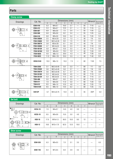| <b>Clamp screw</b> |                  |                  |                    |                  |                  |                          |                  |        |                      |
|--------------------|------------------|------------------|--------------------|------------------|------------------|--------------------------|------------------|--------|----------------------|
|                    | Cat. No.         |                  |                    | Dimensions (mm)  |                  |                          |                  | Wrench | Recommended          |
| <b>Drawings</b>    |                  | $\overline{A}$   | B                  | C                | D                | E                        | $\alpha^{\circ}$ |        | torque $(N \cdot m)$ |
|                    | <b>ESW-410</b>   | 5.3              | $M4\times0.7$      | 10.0             | 2.7              |                          | 55               | $T-15$ | 3.1                  |
|                    | <b>ESW-412</b>   | 5.3              | $M4\times0.7$      | 12.0             | 2.7              |                          | 55               | $T-15$ | 3.1                  |
| ചി                 | <b>ESW-507</b>   | 6.8              | $M5\times0.8$      | 7.5              | 3.4              | $\overline{\phantom{0}}$ | 55               | $T-25$ | 5.5                  |
|                    | <b>ESW-508</b>   | 6.8              | $M5\times0.8$      | 8.2              | 3.4              | $\overline{\phantom{0}}$ | 55               | $T-25$ | 5.5                  |
|                    | <b>ESW-510</b>   | 6.8              | $M5\times0.8$      | 10.0             | 3.4              |                          | 55               | $T-25$ | 5.5                  |
|                    | <b>FSW-2005H</b> | 2.5              | $M2\times 0.25$    | 5.0              | 1.3              | $\overline{\phantom{0}}$ | 40               | $T-6$  | 0.5                  |
|                    | <b>FSW-2506H</b> | 3.0              | $M2.5 \times 0.35$ | 6.6              | 1.5              |                          | 40               | $T-7$  | 0.9                  |
|                    | <b>FSW-3007H</b> | 3.8              | $M3\times0.35$     | 8.1              | 2.0              |                          | 40               | $T-8$  | 1.2                  |
| œ                  | <b>FSW-3509H</b> | 4.7              | $M3.5\times0.6$    | 9.6              | 2.3              |                          | 40               | $T-10$ | 2.0                  |
|                    | <b>FSW-4013H</b> | 5.8              | $M4\times0.7$      | 13.5             | 3.3              |                          | 40               | $T-15$ | 3.0                  |
|                    | <b>FSW-5016H</b> | 6.8              | $M5\times0.8$      | 16.4             | 3.2              |                          | 40               | $T-20$ | 4.0                  |
|                    | <b>FSW-6020</b>  | 8.5              | $M6\times1.0$      | 20.0             | 4.3              |                          | 40               | $T-30$ | $\overline{5.0}$     |
|                    | <b>FSW-8025</b>  | 11.0             | $M8\times1.25$     | 25.0             | 5.5              | $\overline{\phantom{0}}$ | 40               | $T-40$ | 6.0                  |
| ച്                 | <b>HSW-614H</b>  | 10.0             | $M6\times1.0$      | 15.0             | 7.3              |                          | 60               | $T-30$ | 7.5                  |
|                    | <b>TSW-2250</b>  | 3.1              | $M2.2\times 0.45$  | 5.0              | 2.3              |                          | 60               | $T-7$  | 0.6                  |
|                    | <b>TSW-2556H</b> | 3.6              | $M2.5 \times 0.45$ | $\overline{5.6}$ | 2.7              |                          | 60               | $T-8$  | 0.9                  |
|                    | <b>TSW-2567H</b> | $\overline{3.6}$ | $M2.5 \times 0.45$ | 6.7              | $\overline{2.7}$ |                          | 60               | $T-8$  | 0.9                  |
| ഥി                 | <b>TSW-3510H</b> | 5.3              | $M3.5\times0.6$    | 10.0             | 4.5              | $\overline{\phantom{0}}$ | 60               | $T-15$ | 2.1                  |
|                    | <b>TSW-3512H</b> | $\overline{5.3}$ | $M3.5\times0.6$    | 11.5             | 4.5              |                          | 60               | $T-15$ | 2.1                  |
|                    | <b>TSW-408</b>   | 5.5              | $M4\times0.7$      | 8.0              | 3.3              |                          | 60               | $T-15$ | 3.1                  |
|                    | <b>TSW-511</b>   | 7.0              | $M5\times0.8$      | 11.0             | 5.0              |                          | 60               | $T-20$ | 5.5                  |
|                    | <b>TSW-612</b>   | 8.5              | $M6\times1.0$      | 12.0             | 4.8              |                          | 60               | $T-25$ | 7.5                  |
|                    | <b>TSW-614H</b>  | 8.5              | $M6\times1.0$      | 14.0             | 6.2              |                          | 60               | $T-25$ | 7.5                  |
| മ<br>D.            | S4513P           | 6.7              | M4.5×0.75          | 13.0             | 3.5              |                          | 55               | 20IP   | 5.0                  |

# **Set bolt**

| <b>Drawings</b>                                          | Cat. No.       |      |                 | Dimensions (mm) |      |      |    | Wrench | Recommended          |
|----------------------------------------------------------|----------------|------|-----------------|-----------------|------|------|----|--------|----------------------|
|                                                          |                | A    | B               | C               | D    | Ε    | F  |        | torque $(N \cdot m)$ |
| $HCS4-10$<br>HCS5-10<br>$HSB-12$<br>⋖≬<br>围<br>ŚЧ<br>∙ഫൂ | <b>HCS4-10</b> | 7.0  | $M4\times0.7$   | 14.0            | 4.0  | 3.0  |    |        |                      |
| TD I<br>E.,                                              | <b>HCS5-10</b> | 8.5  | $M5\times0.8$   | 15.0            | 5.0  | 4.0  |    |        |                      |
| $HSB-10$<br>₿<br>≾া<br>Ŀм<br>↶<br>⊩œ¦                    | <b>HSB-10</b>  | 17.0 | $M10\times1.5$  | 56.0            | 10.0 | 8.0  | 13 |        |                      |
| ₩<br>$-40$<br>- 7<br>_E L<br>c.                          | <b>HSB-12</b>  | 18.0 | $M12\times1.75$ | 62.0            | 12.0 | 10.0 |    |        |                      |

# **Shim screw**

| <b>Drawings</b>                      | Cat. No.       |     | Dimensions (mm) |     | Wrench | Recommended<br>torque $(N \cdot m)$ |   |  |     |
|--------------------------------------|----------------|-----|-----------------|-----|--------|-------------------------------------|---|--|-----|
|                                      |                | A   | B               | C   | D      | F                                   | F |  |     |
| 粗<br>⋖<br>$\Theta$<br>മ<br>டி<br>LE. | <b>SSW-535</b> | 6.3 | $M5\times0.5$   | 7.0 | 3.1    | 3.5                                 |   |  | 6.5 |
|                                      | <b>SSW-745</b> | 8.4 | $M7\times0.5$   | 8.0 | 2.9    | 4.5                                 |   |  | 8.0 |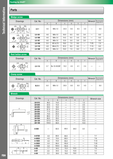# **Parts Parts**

## **Wedge screw**

| .                                                                                |               |     |                |                 |     |     |     |        |                                     |
|----------------------------------------------------------------------------------|---------------|-----|----------------|-----------------|-----|-----|-----|--------|-------------------------------------|
| Drawings                                                                         | Cat. No.      |     |                | Dimensions (mm) |     |     |     | Wrench | Recommended<br>torque $(N \cdot m)$ |
|                                                                                  |               | A   | B              | C               | D   | E   | F   |        |                                     |
| LH.<br>R.H.<br>$\frac{4}{9}$<br>C<br>B<br>퐾<br>⋔<br>മി<br>ഹ<br>$F_{\rightarrow}$ | $LS-1$        | 4.6 | $M6\times1.0$  | 22.0            | 8.5 | 8.5 | 3.0 |        | 6.0                                 |
| $\mathfrak{g}$<br>R.H.<br>LH.                                                    | LS-101        | 4.6 | $M6\times1.0$  | 16.0            | 6.5 | 6.5 | 3.0 |        | 6.0                                 |
| Ô<br>lees.<br>ഫ്<br>- ഫ്<br>ьs                                                   | <b>LS-106</b> | 4.6 | $M6\times1.0$  | 14.5            | 6.5 | 5.0 | 3.0 |        | 6.0                                 |
| ' ب≦ي.                                                                           | <b>LS-107</b> | 4.6 | $M6\times1.0$  | 13.0            | 5.0 | 5.0 | 3.0 |        | 6.0                                 |
| L.H.<br>R.H.<br>$\mathfrak{g}$                                                   | <b>LS-109</b> | 5.5 | $M7\times0.75$ | 19.0            | 7.5 | 8.0 |     | $T-25$ | 7.0                                 |
| ●<br>₽<br>ഫ്<br>മി                                                               | <b>LS-110</b> | 4.8 | $M6\times0.75$ | 22.0            | 8.0 | 8.0 |     | $T-15$ | 6.0                                 |
| $\sqrt{E}$<br>₽                                                                  | <b>LS-180</b> | 6.0 | $M8\times1.0$  | 19.0            | 7.0 | 8.0 |     | $T-27$ | 8.0                                 |

#### **Rest button screw**

| <b>Drawings</b>                                   | Cat. No. | Dimensions (mm) |             |      |     |     |     |        | Recommended          |
|---------------------------------------------------|----------|-----------------|-------------|------|-----|-----|-----|--------|----------------------|
|                                                   |          | $\mathsf{A}$    |             |      |     |     |     | Wrench | torque $(N \cdot m)$ |
| R.H.<br>LH.<br>ЭI<br>₽<br>മി<br>- ന<br>₩₩<br>IC., | LS-113   | 3.7             | No.10-32UNF | 10.2 | 4.5 | 4.1 | 2.4 |        |                      |

#### **Clamp screw**

| <b>Drawings</b>                                                | Cat. No. |              | Dimensions (mm) |               | Wrench | Recommended |     |  |                      |
|----------------------------------------------------------------|----------|--------------|-----------------|---------------|--------|-------------|-----|--|----------------------|
|                                                                |          | $\mathsf{A}$ |                 | $\Omega$<br>U | ש      |             |     |  | torque $(N \cdot m)$ |
| R.H.<br>$\Theta$<br>$\bigcirc$<br>HER.<br>ഫൂ<br>H- 5<br>╞═┪╱┝═ | $SLS-3$  | 6.0          | $M8\times1.0$   | 20.0          | 8.0    | 8.0         | 4.0 |  | 8.0                  |

## **Wrench**

| <b>Drawings</b>              | Cat. No.      |                |       | Dimensions (mm) |                                |      | Wrench size |
|------------------------------|---------------|----------------|-------|-----------------|--------------------------------|------|-------------|
|                              |               | $\overline{A}$ | B     | C               | D                              | E    |             |
|                              | LW-015        | 46.5           | 14.0  |                 |                                | 1.5  |             |
|                              | LW-020        | 52.0           | 15.0  |                 |                                | 2.0  |             |
|                              | LW-025        | 59.5           | 18.0  |                 | $\qquad \qquad \longleftarrow$ | 2.5  |             |
| Α                            | LW-030        | 67.0           | 20.0  |                 |                                | 3.0  |             |
| ᇯ                            | LW-035        | 71.5           | 22.5  |                 |                                | 3.5  |             |
| ш<br>B                       | LW-040        | 75.0           | 25.0  |                 | $\overline{\phantom{0}}$       | 4.0  |             |
|                              | LW-045        | 80.5           | 27.0  |                 |                                | 4.5  |             |
|                              | LW-050        | 80.0           | 28.0  |                 | $\overline{\phantom{0}}$       | 5.0  |             |
|                              | <b>LW-120</b> | 137.0          | 45.0  |                 |                                | 12.0 |             |
|                              | LW-140        | 154.0          | 56.0  |                 |                                | 14.0 |             |
| В<br>D<br>$\circ$<br>шΙ<br>⊚ | A-030         |                | 60.0  | 80.0            | 28.0                           | 3.0  |             |
|                              | A-07SD        | 4.0            | 60.0  | 80.0            |                                |      | $T-7$       |
| $\mathbb{S}^4$               | A-08SD        | 4.0            | 70.0  | 80.0            |                                |      | $T-8$       |
|                              | A-10SD        | 4.0            | 70.0  | 95.0            |                                |      | $T-10$      |
| C.<br>R                      | A-20SD        | 5.0            | 90.0  | 105.0           |                                |      | $T-20$      |
|                              | A-25SD        | 5.0            | 100.0 | 105.0           |                                |      | $T-25$      |
| B<br>D                       | $A-06$        | 1.7            | 34.5  | 15.0            | 15.0                           |      | $T-6$       |
| ပ                            | $A-07$        | 2.0            | 34.5  | 15.0            | 15.9                           |      | $T-7$       |
| $\mathbb{A}_0$               | A-08          | 2.3            | 39.0  | 19.0            | 19.0                           |      | $T-8$       |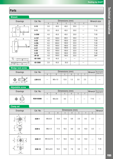| <b>Wrench</b>                            |          |                |       |                 |              |   |             |
|------------------------------------------|----------|----------------|-------|-----------------|--------------|---|-------------|
| <b>Drawings</b>                          | Cat. No. |                |       | Dimensions (mm) |              |   | Wrench size |
|                                          |          | $\overline{A}$ | B     | C               | $\mathsf{D}$ | E |             |
| B<br>$\overline{D}$                      | $A-10$   | 3.0            | 40.0  | 40.0            | 20.0         |   | $T-10$      |
| O<br>$\circ$                             | $A-15$   | 3.5            | 45.0  | 40.0            | 20.0         |   | $T-15$      |
| $\phi$                                   | A-20W    | 4.0            | 45.0  | 40.0            | 20.0         |   | $T-20$      |
| B<br>D                                   | A-15T    | 4.0            | 100.0 | 80.0            | 26.0         |   | $T-15$      |
|                                          | $A-20$   | 4.0            | 100.0 | 100.0           | 32.0         |   | $T-20$      |
|                                          | A-20L    | 5.5            | 200.0 | 100.0           | 32.0         |   | $T-20$      |
| $\mathbb{P}^{\mathbb{Q}}$<br>$\circ$     | $A-25$   | 4.5            | 100.0 | 100.0           | 32.0         |   | $T-25$      |
|                                          | $A-27$   | 5.5            | 100.0 | 100.0           | 32.0         |   | $T-27$      |
| $\circledcirc$                           | $A-30$   | 6.0            | 100.0 | 100.0           | 32.0         |   | $T-30$      |
|                                          | $A-40$   | 7.0            | 100.0 | 100.0           | 32.0         |   | $T-40$      |
|                                          | AP-20    | 4.0            | 100.0 | 100.0           | 32.0         |   | 20IP        |
| $\frac{1}{2}$<br>$\overline{\mathsf{R}}$ | AD-1845  | 1.8            | 45.0  |                 |              |   |             |
| ≢ุรี<br>R                                | AD-2080  | 2.0            | 45.0  | 35.0            |              |   |             |

### **Wedge lock screw**

| <b>Drawings</b>                         | Cat. No.       |   |               | Dimensions (mm) |       |     |     | Wrench | Recommended          |
|-----------------------------------------|----------------|---|---------------|-----------------|-------|-----|-----|--------|----------------------|
|                                         |                | A |               |                 |       |     |     |        | torque $(N \cdot m)$ |
| ৩২<br>$\mathbb{Q}$<br>‼਼<br>$H-4$<br>⊣⊭ | <b>LSM-512</b> |   | $M5\times1.0$ | 12.6            | . . 0 | 3.0 | 2.5 |        |                      |

## **Adjustable screw**

| <b>Drawings</b>             | Cat. No.         |              | Dimensions (mm) | Wrench | Recommended |        |                      |
|-----------------------------|------------------|--------------|-----------------|--------|-------------|--------|----------------------|
|                             |                  | $\mathsf{m}$ |                 |        |             |        | torque $(N \cdot m)$ |
| $^\circledR$<br>₩<br>$\sim$ | <b>RSW-05008</b> |              | $M5\times0.8$   | 8.0    |             | $T-10$ |                      |

## **Clamp set**

| <b>Drawings</b>                         | Cat. No.      | Dimensions (mm) |      |              |      |     |      |     | Wrench |
|-----------------------------------------|---------------|-----------------|------|--------------|------|-----|------|-----|--------|
|                                         |               | $\overline{A}$  | B    | $\mathsf{C}$ | D    | E   | F    | G   |        |
| F<br>யு<br>G<br>Ċ                       | DCM-1         | $M5\times0.8$   | 13.8 | 13.8         | 6.8  | 2.0 | 8.5  | 2.5 |        |
| Ξd<br>n                                 | DCM-5         | $M6\times1.0$   | 17.0 | 16.5         | 8.9  | 2.0 | 10.0 | 3.0 |        |
| $\overline{F}$<br>٥<br>$\Box$<br>ш<br>C | <b>DCM-17</b> | M4.5×0.75       | 11.7 | 18.0         | 10.5 | 5.0 | 10.0 |     | $T-20$ |
| $\boldsymbol{\omega}$<br>匸              | <b>DCM-18</b> | $M3.5\times0.6$ | 10.0 | 13.0         | 7.6  | 3.0 | 7.2  |     | $T-15$ |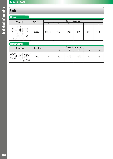| Clamp                                                   |          |                 |      |      |      |     |      |
|---------------------------------------------------------|----------|-----------------|------|------|------|-----|------|
| <b>Drawings</b>                                         | Cat. No. | Dimensions (mm) |      |      |      |     |      |
|                                                         |          | A               | B    | C    | D    | E   |      |
| $\mathbf{a}$<br>ш<br>C<br>H.<br>$\mathbf{m}$<br>A(L.H.) | DCM-2    | $M8\times1.0$   | 10.0 | 19.0 | 11.0 | 6.0 | 13.5 |

## **Clamp washer**

| <b>Drawings</b>                   | Cat. No.     |     |     | Dimensions (mm) |     |                  |          |
|-----------------------------------|--------------|-----|-----|-----------------|-----|------------------|----------|
|                                   |              | n   |     |                 |     | $\alpha^{\circ}$ | $\Omega$ |
| 찂의<br>c<br>ପା<br>e l<br>₩<br>00 A | <b>CW-11</b> | 8.0 | 5.0 | 11.0            | 4.0 | 55               |          |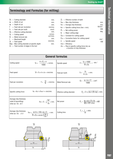# **Terminology and Formulas (for milling)**

|    | $Dc =$ Cutting diameter                        | mm.                   |
|----|------------------------------------------------|-----------------------|
|    | $ae = Width of cut$                            | mm.                   |
| ap | $=$ Depth of cut                               | mm.                   |
| f  | $=$ Feed rate per revolution                   | mm/rev.               |
|    | $fz$ = Feed rate per tooth                     | mm/t.                 |
|    | $De$ = Effective cutting diameter              | mm.                   |
|    | $Vc =$ Cutting speed                           | $m/mm$ .              |
| Ω  | $=$ Metal removal rate                         | cm <sup>3</sup> /min. |
|    | $\vert$ = Machined length                      | mm.                   |
|    | $Vf = Feed speed$                              | mm/min.               |
|    | $Dap = Max cutting diameter at specific depth$ | mm.                   |

 $Zn = Total number of edges in the tool$ 

| $Zc =$ Effective number of teeth             |          |
|----------------------------------------------|----------|
| $hex = Max chip thickness$                   | mm.      |
| $hm = Average chip thickness$                | mm.      |
| $Kc1 =$ Specific cutting force (hex = mm)    | $N/mm^2$ |
| $Pc = Net cutting power$                     | KW.      |
| $kr =$ Major cutting edge                    | deg.     |
| $V_{\text{co}}$ = Constant for cutting speed |          |
| $Cvc =$ Correction factor for cutting speed  | $min-1$  |
| $n =$ Spindle speed                          | KW       |
| $\mathsf{m} = \mathsf{Efficiency}$           |          |

mc = Rise in specific cutting force (kc) as a function of chip thickness

|                                                                           | <b>General formulas</b>                                                                                                                                      |                            |                                                                                |  |  |  |  |
|---------------------------------------------------------------------------|--------------------------------------------------------------------------------------------------------------------------------------------------------------|----------------------------|--------------------------------------------------------------------------------|--|--|--|--|
| <b>Cutting speed</b>                                                      | $V_c = \frac{\pi \times D_c \times n}{1000} = m/min.$                                                                                                        | Spindle speed              | $n = \frac{V_c \times 1000}{\pi \times D_c} = \text{min.}^{-1}$                |  |  |  |  |
| Feed speed                                                                | $Vf = fz \times n \times zn = mm/min$ .                                                                                                                      | Feed per tooth             | $f_z = \frac{Vf}{n \times zn} = mm.$                                           |  |  |  |  |
| Feed per revolution                                                       | $f = \frac{Vf}{n} = \frac{m}{r}$                                                                                                                             | Metal Removal rate         | $Q = \frac{a_p \times a_e \times V_f}{1000} = cm^3$ .                          |  |  |  |  |
| Specific cutting force                                                    | $kc = kc1 \times hnm = mm/min$ .                                                                                                                             | Effective cutting diameter | $D_e = 2 \times \sqrt{ap \times (Dc-aq)} = mm.$                                |  |  |  |  |
| Average chip thickness<br>(side & facemilling)<br>when ae / Dc $\leq$ 0.1 | $hm = fz \sqrt{\frac{ae}{Dc}} = mm.$                                                                                                                         | Net power                  | $P_c = \frac{ap \times ae \times Vf \times kc}{60 \times 10^6 \times nm} = kW$ |  |  |  |  |
| Average chip thickness<br>when ae / Dc $\geq$ 0.1                         | hm = $\frac{\sin kr \times 180 \times \text{ae} \times \text{fz}}{\pi \times \text{Dc} \times \text{arcsin} \left(\frac{\text{ae}}{\text{Dc}}\right)}$ = mm. | Cutting time               | $T_c = \frac{1}{\sqrt{4}}$ = min.                                              |  |  |  |  |



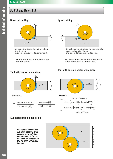# **Up Cut and Down Cut**

# **Down cut milling**



- same workpiece direction, feed rate and rotation of milling cutter.
- chip cross-section start on the strongest point.

Generally down milling should be prefered if rigid machine is available.

## **Up cut milling**



- the feed rate of workpiece is counter-clock-wise to the sense of milling cutter rotation.
- chip cross-section start on the weakest point.

Up milling should be applied on instable milling machine and workpiece materials with higher hardness.

## **Tool with outside center work piece**





**We suggest to work like this when possible or in any case work with tangential tool exit. Up cut and down cut is possible with Ae Max. 2/3 of tool diameter.** 



## **Tool with central work piece**



#### **Formulas :**

$$
hm = \frac{\sin(kr) \times 180 \times ae \times fz}{\pi \times dc \times arcsin\left(\frac{ae}{dc}\right)} \qquad fz = \frac{hm \times \pi \times arcsin\left(\frac{ae}{dc}\right)}{\sin(kr) \times 180 \times ae}
$$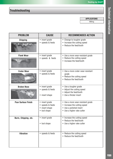# **Troubleshooting**

**APPLICATIONS** 

Milling

| <b>PROBLEM</b>             | <b>CAUSE</b>                                                         | <b>RECOMMENDED ACTION</b>                                                                                                  |
|----------------------------|----------------------------------------------------------------------|----------------------------------------------------------------------------------------------------------------------------|
| <b>Chipping</b>            | • insert grade<br>• speeds & feeds                                   | • Change to tougher grade<br>• Increase the cutting speed<br>• Reduce the feed/tooth                                       |
| <b>Flank Wear</b>          | • insert grade<br>• speeds & feeds                                   | • Use a more wear-resistant grade<br>• Reduce the cutting speed<br>• Increase the feed/tooth                               |
| <b>Crater Wear</b>         | • insert grade<br>• speeds & feeds                                   | • Use a more crater wear-resistant<br>arade<br>• Reduce the cutting speed<br>• Reduce the feed/tooth                       |
| <b>Broken Nose</b>         | • insert grade<br>• speeds & feeds<br>• insert shape                 | • Use a tougher grade<br>• Adjust the cutting speed<br>• Adjust the feed/tooth<br>• Use a thicker insert                   |
| <b>Poor Surface Finish</b> | • insert grade<br>• speeds & feeds<br>• insert shape<br>• tool shape | • Use a more wear-resistant grade<br>• Increase the cutting speed<br>• Use a polished insert<br>• Use a higher rake cutter |
| Burrs, Chipping, etc.      | • insert grade<br>• tool shape                                       | • Increase the cutting speed<br>• Reduce the feed/tooth<br>• Use a higher rake cutter                                      |
| <b>Vibration</b>           | • speeds & feeds                                                     | • Reduce the cutting speed<br>• Reduce the feed/tooth                                                                      |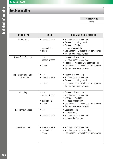# **Troubleshooting**

**APPLICATIONS** 

Drilling

| <b>PROBLEM</b>                             | <b>CAUSE</b>                                                      | <b>RECOMMENDED ACTION</b>                                                                                                                                                                       |
|--------------------------------------------|-------------------------------------------------------------------|-------------------------------------------------------------------------------------------------------------------------------------------------------------------------------------------------|
| Drill Breakage                             | • speeds & feeds<br>• cutting fluid<br>• others                   | • Maintain constant feed rate<br>• Reduce the cutting speed<br>• Reduce the feed rate<br>• Increase coolant flow<br>• Use a machine with sufficient horsepower<br>• Tighten work piece clamping |
| Center Point Breakage                      | $\bullet$ tool<br>• speeds & feeds<br>• others                    | • Reduce drill overhang<br>• Maintain constant feed rate<br>• Reduce the feed rate when starting drill<br>• Use a machine with sufficient horsepower<br>• Tighten work piece clamping           |
| Peripheral Cutting Edge<br><b>Breakage</b> | • tool<br>• speeds & feeds<br>• others                            | • Reduce drill overhang<br>• Maintain constant feed rate<br>• Reduce the cutting speed<br>• Use a machine with sufficient horsepower<br>• Tighten work piece clamping                           |
| Chipping                                   | $\bullet$ tool<br>• speeds & feeds<br>• cutting fluid<br>• others | • Reduce drill overhang<br>• Maintain constant feed rate<br>• Change the feed rate<br>• Increase coolant flow<br>• Use a machine with sufficient horsepower<br>• Tighten work piece clamping    |
| Long Stringy Chips                         | $\bullet$ tool<br>• speeds & feeds                                | • Less lead angle<br>• Increase hone<br>• Maintain constant feed rate<br>• Increase the feed rate                                                                                               |
| Chip Form Varies                           | • speeds & feeds<br>• cutting fluid<br>• others                   | • Maintain constant feed rate<br>• Maintain constant coolant flow<br>• Use a machine with sufficient horsepower                                                                                 |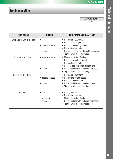# **Troubleshooting**

**APPLICATIONS** 

Drilling

| <b>PROBLEM</b>            | <b>CAUSE</b>     | <b>RECOMMENDED ACTION</b>                             |
|---------------------------|------------------|-------------------------------------------------------|
| Over Size or Out-of-Round | $\bullet$ tool   | • Reduce drill overhang                               |
|                           | • speeds & feeds | • Increase lead angle<br>• Increase the cutting speed |
|                           |                  | • Reduce the feed rate                                |
|                           | • others         | • Use a machine with sufficient horsepower            |
|                           |                  | • Tighten work piece clamping                         |
| Poor Surface Finish       | • speeds & feeds | • Maintain constant feed rate                         |
|                           |                  | • Increase the cutting speed                          |
|                           |                  | • Reduce the feed rate                                |
|                           |                  | • Use low feed rate when starting drill               |
|                           | • others         | • Use a machine with sufficient horsepower            |
|                           |                  | • Tighten work piece clamping                         |
| Galling on Drill Body     | $\bullet$ tool   | • Reduce drill overhang                               |
|                           | • speeds & feeds | • Reduce the cutting speed                            |
|                           |                  | • Increase the feed rate                              |
|                           | • others         | • Use a machine with sufficient horsepower            |
|                           |                  | • Tighten work piece clamping                         |
| Vibration                 | $\bullet$ tool   | • Use light hone                                      |
|                           |                  | • Reduce drill overhang                               |
|                           | • speeds & feeds | • Maintain constant feed rate                         |
|                           | • others         | • Use a machine with sufficient horsepower            |
|                           |                  | • Tighten work piece clamping                         |
|                           |                  |                                                       |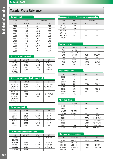# **Material Cross Reference**

#### **Carbon steel**

| <b>USA</b> | Germany |                 |
|------------|---------|-----------------|
| AISI/SAE   | W.-nr   | <b>DIN</b>      |
| 1010       | 1.0301  | C10             |
| 1015       | 1.0401  | C15             |
| 1020       | 1.0402  | C22             |
| 1025       | 1.0406  | C <sub>25</sub> |
| 1030       | 1.0528  | C30             |
| 1035       | 1.0501  | C35             |
| 1040       | 1.0511  | C40             |
| 1045       | 1.0503  | C45             |
| 1049       | 1.0540  | C50             |
| 1055       | 1.0535  | C <sub>55</sub> |
| 1060       | 1.0601  | C58             |
|            |         |                 |

#### **Nickel chromium steel**

| <b>JIS</b>    | AISI/SAE | $W.-nr$ | <b>DIN</b> |
|---------------|----------|---------|------------|
| <b>SNC236</b> | 3135     | 1.5710  | 36NiCr6    |
| <b>SNC415</b> | 3415     | 1.5732  | 14NiCr10   |
| <b>SNC631</b> |          |         |            |
| <b>SNC815</b> | 3310     | 1.5752  | 14NiCr14   |
| <b>SNC836</b> |          |         |            |

#### **Nickel chromium molybdenum steel**

| <b>JIS</b>     | AISI/SAE | $W-nr$ | <b>DIN</b> |
|----------------|----------|--------|------------|
| SNCM220        | 8620     | 1.6523 | 21NiCrMo2  |
| SNCM240        | 8640     | 1.6546 | 40NiCrMo22 |
| <b>SNCM415</b> |          |        |            |
| SNCM420        | 4320     |        |            |
| <b>SNCM439</b> | 4340     | 1.6582 | 35CrNiMo6  |
| <b>SNCM447</b> |          |        |            |
| SNCM630        |          |        |            |
| <b>SNCM815</b> |          |        |            |

#### **Chromium steel**

| <b>JIS</b>    | AISI/SAE | $W-nr$ | <b>DIN</b>        |
|---------------|----------|--------|-------------------|
| SCr415        | 5015     | 1.7015 | 15Cr3             |
| <b>SCr420</b> | 5120     | 1.7020 | 20 <sub>Cr4</sub> |
| SCr430        | 5130     | 1.7033 | 34Cr4             |
| SCr435        | 5132     | 1.7034 | 37Cr4             |
| <b>SCr440</b> | 5140     | 1.7045 | 42Cr4             |
| <b>SCr445</b> | 5147     |        |                   |

#### **Chromium molybdenum steel**

| JIS           | AISI/SAE | $W.-nr$ | <b>DIN</b> |
|---------------|----------|---------|------------|
| <b>SCM415</b> |          | 1.7262  | 15CrMo5    |
| <b>SCM420</b> |          |         |            |
| <b>SCM430</b> | 4130     | 1.7218  | 25CrMo4    |
| <b>SCM435</b> | 4137     | 1.7220  | 34CrMo4    |
| <b>SCM440</b> | 4140     | 1.7223  | 41CrMo4    |
| <b>SCM445</b> | 4145     |         |            |
|               |          |         |            |

#### **Manganese steel and Manganese chromium steel**

| Japan         | <b>USA</b> | Germany |            |
|---------------|------------|---------|------------|
| <b>JIS</b>    | AISI/SAE   | W.-nr   | <b>DIN</b> |
| <b>SMn420</b> | 1522       |         |            |
| <b>SMn433</b> | 1536       |         |            |
| <b>SMn438</b> | 1541       |         |            |
| <b>SMn443</b> | 1541       |         |            |
| SMnC420       |            |         |            |
| SMnC443       |            |         |            |

#### **Carbon tool steel**

| <b>JIS</b>      | AISI/SAE               | $W.-nr$ | <b>DIN</b> |
|-----------------|------------------------|---------|------------|
| SK <sub>1</sub> | $W1-13$                |         |            |
| SK <sub>2</sub> | W <sub>1</sub> -11 1/2 |         |            |
| SK <sub>3</sub> | $W1 - 10$              | 1.1545  | C105W1     |
| SK4             | $W1-9$                 |         |            |
| SK <sub>5</sub> | $W1-8$                 | 1.1525  | C80W1      |
| SK <sub>6</sub> | $W1-7$                 | 1.1525  | C80W1      |
| SK7             |                        | 1.1620  | C70W2      |

#### **High speed steel**

| <b>JIS</b>        | AISI/SAE        | $W.-nr$ | <b>DIN</b> |
|-------------------|-----------------|---------|------------|
| SKH <sub>2</sub>  | Τ1              |         |            |
| SKH <sub>3</sub>  | T <sub>4</sub>  |         |            |
| SKH <sub>10</sub> | T <sub>15</sub> |         |            |
| SKH <sub>51</sub> | M <sub>2</sub>  | 1.3343  | $S6-5-2$   |
| SKH <sub>52</sub> | $M3-1$          |         |            |
| SKH <sub>53</sub> | $M3-2$          | 1.3344  | $S6-5-3$   |
| SKH <sub>54</sub> | M4              |         |            |
| SKH56             | M36             |         |            |

#### **Alloy tool steel**

| <b>JIS</b>        | AISI/SAE              | W.-nr  | DI          |
|-------------------|-----------------------|--------|-------------|
| SKS <sub>11</sub> | F <sub>2</sub>        |        |             |
| SKS51             | L <sub>6</sub>        |        |             |
| SKS43             | W <sub>2</sub> -9 1/2 |        |             |
| SKS44             | W2-8 1/2              |        |             |
| SKD <sub>1</sub>  | D <sub>3</sub>        | 1.2080 | X210Cr12    |
| SKD <sub>11</sub> | D <sub>2</sub>        | 1.2379 | X100CrMoV5  |
| SKD <sub>12</sub> | A <sub>2</sub>        | 1.2363 | X100CrMoV51 |
| SKD <sub>2</sub>  |                       | 1.2436 | X210CrW12   |
| SKD <sub>5</sub>  | H <sub>21</sub>       | 1.2581 | X30WCrV9    |
| SKD61             | H <sub>13</sub>       | 1.2344 | X40CrMoV5   |

#### **Stainless steel (Ferritic)**

| <b>JIS</b>     | AISI/ASTM        | W.-nr  | <b>DIN</b> |
|----------------|------------------|--------|------------|
| <b>SUS405</b>  | AISI 405         | 1.4724 | X6CrAI13   |
| <b>SUS429</b>  | AISI 429         |        |            |
| <b>SUS430</b>  | AISI 430         | 1.4742 | X6Cr17     |
| <b>SUS430F</b> | <b>AISI 430F</b> | 1.4104 | X12CrMoS17 |
| <b>SUS434</b>  | AISI 434         |        |            |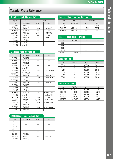# **Material Cross Reference**

| Japan          | <b>USA</b>       | Germany |            |
|----------------|------------------|---------|------------|
| <b>JIS</b>     | AISI/ASTM        | W.-nr   | <b>DIN</b> |
| <b>SUS403</b>  | AISI 403         |         |            |
| <b>SUS410</b>  | AISI 410         | 1.4006  | X10Cr13    |
| <b>SUS416</b>  | AISI 416         |         |            |
| SUS420J1       | AISI 420         | 1.4034  | X20Cr13    |
| SUS420F        | <b>AISI 420F</b> |         |            |
| <b>SUS431</b>  | <b>AISI 431</b>  | 1.4057  | X20CrNi172 |
| <b>SUS440A</b> | <b>AISI 440A</b> |         |            |
| <b>SUS440B</b> | <b>AISI 440B</b> |         |            |
| <b>SUS440C</b> | <b>AISI 440C</b> |         |            |

#### **Stainless steel (Austenitic)**

| <b>JIS</b>      | AISI/ASTM        | W.-nr  | <b>DIN</b>    |
|-----------------|------------------|--------|---------------|
| <b>SUS201</b>   | <b>AISI 201</b>  |        |               |
| <b>SUS202</b>   | <b>AISI 202</b>  |        |               |
| <b>SUS301</b>   | AISI 301         |        |               |
| <b>SUS302</b>   | AISI 302         |        |               |
| <b>SUS302B</b>  | <b>AISI 302B</b> |        |               |
| <b>SUS303</b>   | AISI 303         | 1.4305 | X10CrNiS189   |
| SUS303Se        | AISI 303Se       |        |               |
| <b>SUS304</b>   | AISI 304         | 1.4301 | X5CrNi1810    |
| SUS304L         | <b>AISI 304L</b> | 1.4306 | X2CrNi1911    |
| <b>SUS304NI</b> | <b>AISI 304N</b> |        |               |
| <b>SUS305</b>   | AISI 305         | 1.4303 | X5CrNi1812    |
| <b>SUS308</b>   | <b>AISI 308</b>  |        |               |
| <b>SUS309S</b>  | <b>AISI 309S</b> |        |               |
| <b>SUS310S</b>  | <b>AISI 310S</b> |        |               |
| <b>SUS316</b>   | AISI 316         | 1.4401 | X5CrNiMo17122 |
| SUS316L         | <b>AISI 316L</b> |        | X2CrNiMo17132 |
| <b>SUS316N</b>  | <b>AISI 316N</b> | 1.4404 |               |
| <b>SUS317</b>   | AISI 317         | 1.4438 | X2CrNiMo18164 |
| SUS317L         | <b>AISI 317L</b> | 1.4438 | X2CrNiMo18164 |
| <b>SUS321</b>   | <b>AISI 321</b>  |        |               |
| <b>SUS347</b>   | <b>AISI 347</b>  | 1.4550 | X6CrNiNb1810  |
| <b>SUS384</b>   | <b>AISI 384</b>  |        |               |

| <b>Heat resistant steel (Austenitic)</b> |           |        |                 |
|------------------------------------------|-----------|--------|-----------------|
| <b>JIS</b>                               | AISI/ASTM | W.-nr  | <b>DIN</b>      |
| SUH31                                    |           |        |                 |
| SUH35                                    |           |        |                 |
| SUH36                                    |           |        |                 |
| SUH37                                    |           |        |                 |
| SUH38                                    |           |        |                 |
| <b>SUH309</b>                            | AISI 309  |        |                 |
| <b>SUH310</b>                            | AISI 310  | 1.4845 | <b>CrNi2520</b> |
| <b>SUH330</b>                            | AISI 330  |        |                 |

## **Stainless steel (Martensitic) Heat resistant steel (Martensitic)**

| Japan             | <b>USA</b> | Germany |            |
|-------------------|------------|---------|------------|
| JIS               | AISI/ASTM  | W.-nr   | <b>DIN</b> |
| SUH <sub>21</sub> |            |         | CrAI1205   |
| <b>SUH409</b>     | AISI 409   | 1.4512  | X6CrTi12   |
| <b>SUH446</b>     | AISI 446   |         |            |

#### **Heat resistant steel (Ferritic)**

| <b>JIS</b>        | AISI/ASTM       | $W.-nr$ | <b>DIN</b> |
|-------------------|-----------------|---------|------------|
| SUH <sub>1</sub>  |                 |         |            |
| SUH <sub>3</sub>  |                 |         |            |
| SUH4              |                 |         |            |
| SUH <sub>11</sub> |                 |         |            |
| <b>SUH600</b>     | <b>ASTM 616</b> |         |            |

| <b>Grey cast iron</b> |          |         |            |  |  |  |  |  |  |  |  |  |  |
|-----------------------|----------|---------|------------|--|--|--|--|--|--|--|--|--|--|
| <b>JIS</b>            | AISI/SAE | $W.-nr$ | <b>DIN</b> |  |  |  |  |  |  |  |  |  |  |
| FC100                 | 20       | 0.6010  | GG 10      |  |  |  |  |  |  |  |  |  |  |
| FC150                 | 25       | 0.6015  | GG 15      |  |  |  |  |  |  |  |  |  |  |
| FC200                 | 30       | 0.6020  | GG 20      |  |  |  |  |  |  |  |  |  |  |
| FC250                 | 35       | 0.6025  | GG 25      |  |  |  |  |  |  |  |  |  |  |
| FC300                 | 40       | 0.6030  | GG 30      |  |  |  |  |  |  |  |  |  |  |
| FC350                 | 50       | 0.6035  | GG 35      |  |  |  |  |  |  |  |  |  |  |

#### **Nodular cast iron**

| <b>JIS</b>    | AISI/SAE      | W.-nr  | DIN    |
|---------------|---------------|--------|--------|
| FCD400        | 60-40-18      | 0.7040 | GGG 40 |
| FCD450        | $60 - 40 - 8$ | 0.7045 | GGG 45 |
| <b>FCD500</b> | 65-45-12      | 0.7050 | GGG 50 |
| FCD600        | 80-55-06      | 0.7060 | GGG 60 |
| <b>FCD700</b> | 100-70-03     | 0.7070 | GGG 70 |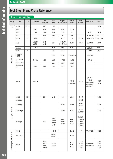#### **Steel for cold molding**

| Group                          | <b>JIS</b>                          | AISI           | Aichi Steel                | Sanyo<br>Special Steel           | Daido<br><b>Steel</b>                           | Nippon<br>Koshuha Steel       | Hitachi<br><b>Metals</b>       | Nachi<br>Fujikoshi                                  | Udde Holm                                              | <b>Bohler</b>                |
|--------------------------------|-------------------------------------|----------------|----------------------------|----------------------------------|-------------------------------------------------|-------------------------------|--------------------------------|-----------------------------------------------------|--------------------------------------------------------|------------------------------|
| Carbon tool<br>steel           | <b>SK105</b>                        | $W1-10$        |                            | QK3                              | YK3                                             |                               |                                |                                                     |                                                        | K990                         |
|                                | SKS93                               |                | SK301                      | QK3M                             | <b>YK30</b>                                     | K3M                           | YCS3                           |                                                     |                                                        |                              |
|                                | SKS3                                |                | SKS3                       | QKS3                             | GOA                                             | KS3                           | SGT                            |                                                     | ARNE                                                   | K460                         |
|                                | SKD1                                | D <sub>3</sub> |                            | QC1                              | DC <sub>1</sub>                                 | KD1                           | CRD                            |                                                     | SVERKER3                                               | K100, K107                   |
|                                | SKD11                               | D <sub>2</sub> | SKD11                      | QC11                             | DC11                                            | KD11                          | SLD                            | CDS11                                               | SVERKER21                                              | K105, K110                   |
|                                | 8% Cr                               |                | AUD <sub>15</sub><br>AUD11 | QCM7<br>QCM8                     | <b>DC53</b>                                     | KD11MAX<br><b>KD11S, KD21</b> | SLD <sub>8</sub>               | MDS9                                                | <b>SLEIPNER</b>                                        | K340                         |
|                                | Die steel<br>(Matrix type)          |                | SXACE                      |                                  | <b>DCMX</b>                                     | <b>NOGA</b>                   | ARK1                           |                                                     | CALDIE<br>UNIMAX                                       | W360                         |
|                                | SKD12                               | A <sub>2</sub> |                            |                                  | <b>DC12</b>                                     | KD <sub>12</sub>              |                                |                                                     | <b>RIGOR</b>                                           | K305                         |
| Alloy tool steel               | Pre-harden<br>40HRC                 |                |                            |                                  | G040F                                           | KAP65                         | HPM-MAGIC                      |                                                     | <b>IMPAX HH</b>                                        |                              |
|                                | Flame tempered<br>steel             |                | <b>SX105V</b>              | QF3                              | GO5                                             | <b>KRCX</b>                   | HMD5                           |                                                     | <b>FERMO</b>                                           |                              |
|                                | Low temperature air<br>cooled steel |                |                            |                                  | G <sub>04</sub>                                 | <b>KSM</b>                    | ACD37                          |                                                     |                                                        |                              |
|                                | Impact resistant<br>steel           |                | AKS4                       | QF1                              | GS5                                             | KTV5                          | YSM                            |                                                     |                                                        |                              |
|                                | <b>Others</b>                       |                | AUD11X                     |                                  |                                                 |                               | SLD <sub>10</sub><br>SLD-MAGIC | ICS22                                               | CALMAX<br>ELMAX<br>VANCRON40<br>VANADIS4E<br>VANADIS10 | K390<br>K890                 |
|                                | SKH51                               | M <sub>2</sub> |                            | QH51                             | <b>MH51</b>                                     | H <sub>51</sub>               | YXM1                           | SKH9                                                |                                                        | S600                         |
|                                | SKH51 type                          |                |                            |                                  |                                                 |                               |                                | SKH9D                                               |                                                        |                              |
|                                | SKH55 type                          |                |                            |                                  |                                                 | <b>HM35</b>                   | YXM4                           | <b>HM35</b><br>HS53M                                |                                                        | S705                         |
| igh speed tool steel           | SKH57 type                          |                |                            |                                  |                                                 | <b>MV10</b>                   | XVC5                           | HS93R<br>DURO-SP                                    |                                                        | S700                         |
| ᆂ                              | Matrix type                         |                |                            | QHZ                              | DRM1<br>DRM <sub>2</sub><br>DRM3<br><b>MH85</b> | KMX1<br>KMX2<br>KMX3          | YXR3<br>YXR7<br>YXR33          | DURO-F1<br>DURO-F3<br>DURO-F7<br>DURO-V2<br>DURO-V5 |                                                        |                              |
|                                | SKH40                               |                |                            |                                  | DEX40                                           |                               | HAP40                          | FAX38                                               | VANADIS30                                              | S590                         |
|                                | Matrix type                         |                |                            |                                  | DEX-M1<br>DEX-M3                                |                               | HAP5R                          |                                                     |                                                        |                              |
| Sintered high speed tool steel | Others                              |                |                            | SPM23<br>SPM30<br>SPM60<br>SPMR8 | DEX20<br>DEX60                                  |                               | HAP10<br>HAP50<br>HAP72        | FAX31<br>FAX40<br>FAX55<br>FAXG2                    | VANADIS23<br>VANADIS60                                 | S290<br>S390<br>S690<br>S790 |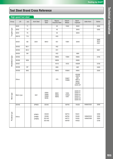|                 | <b>THAIR INDIA SIGGI</b> |                |                         |                                     |                         |                                         |                                                                |                        |                              |
|-----------------|--------------------------|----------------|-------------------------|-------------------------------------|-------------------------|-----------------------------------------|----------------------------------------------------------------|------------------------|------------------------------|
| Group           | <b>JIS</b>               | AISI           | Aichi Steel             | Daido<br>Steel                      | Nippon<br>Koshuha Steel | Hitachi<br><b>Metals</b>                | Nachi<br>Fujikoshi                                             | <b>Udde Holm</b>       | <b>Bohler</b>                |
|                 | SKH <sub>2</sub>         | T1             |                         |                                     | H2                      | YHX2                                    | SKH <sub>2</sub>                                               |                        | S200                         |
| Tungsten type   | SKH3                     | T <sub>4</sub> |                         |                                     | H <sub>3</sub>          |                                         | SKH <sub>3</sub>                                               |                        | S305                         |
|                 | SKH4                     | T <sub>5</sub> |                         |                                     | H <sub>4</sub>          |                                         | SKH4                                                           |                        |                              |
|                 | SKH10                    | T15            |                         |                                     | HV <sub>5</sub>         |                                         |                                                                |                        |                              |
|                 | SKH51                    | M <sub>2</sub> | QH51                    | <b>MH51</b>                         | H <sub>51</sub>         | YXM1                                    | SKH9                                                           |                        | S600<br>S614<br>S401         |
|                 | SKH52                    | $M3-1$         |                         |                                     | H <sub>52</sub>         |                                         |                                                                |                        |                              |
|                 | SKH <sub>53</sub>        | $M3-2$         |                         |                                     | HV1                     |                                         |                                                                |                        | S607                         |
|                 | SKH54                    | M4             |                         |                                     | HV <sub>2</sub>         |                                         | HM4                                                            |                        |                              |
|                 | SKH55                    |                |                         |                                     | <b>HM35</b>             | YXM4                                    | <b>HM35</b>                                                    |                        | S705                         |
| Molybdenum type | SKH56                    | M36            |                         |                                     | HM36                    |                                         | HM36                                                           |                        |                              |
|                 | SKH57                    |                |                         |                                     | <b>HV10</b>             | XVC5                                    | HS93R                                                          |                        | S700                         |
|                 | SKH58                    | M7             |                         |                                     | HM3                     |                                         | HM7                                                            |                        | S400                         |
|                 | SKH59                    | M42            |                         |                                     | <b>HM42</b>             | YXM42                                   | <b>HM42</b>                                                    |                        | S500                         |
|                 | Others                   |                |                         |                                     | S70                     | YXM27<br>YXM60                          | HS53M<br>HS97R<br>HM1<br>HMT12<br>HM33<br>SKH9D<br>DURO-SP     |                        |                              |
| Matrix type     | Matrix type              |                | QHZ                     | DRM1<br>DRM2<br>DRM3<br><b>MH85</b> | KMX1<br>KMX2<br>KMX3    | YXR3<br>YXR33<br>YXR7                   | DURO-FZ<br>DURO-F1<br>DURO-F3<br>DURO-F7<br>DURO-V2<br>DURO-V5 |                        |                              |
|                 | SKH40                    |                | SPM30                   | DEX40                               |                         | HAP40                                   | FAX38                                                          | VANADIS30              | S590                         |
| Powdered type   | Others                   |                | SPM23<br>SPM60<br>SPMR8 | DEX20<br>DEX60<br>DEX-M1<br>DEX-M3  |                         | HAP10<br><b>HAP50</b><br>HAP72<br>HAP5R | FAX31<br>FAX40<br>FAX55<br>FAXG2                               | VANADIS23<br>VANADIS60 | S290<br>S390<br>S690<br>S790 |

## **High speed tool steel**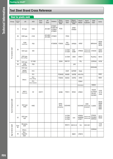## **Steel for plastic mold**

| Group                 | Hardness<br>(HRC) | <b>JIS</b>                 | AISI                  | Aichi<br><b>Steel</b> | <b>JFE</b><br><b>Steel</b> | Kobelco                               | Sanyo<br>Special<br>Steel              | Daido<br>Steel             | Nippon<br>Koshuha<br><b>Steel</b> | Hitachi<br>Metals        | Nachi<br>Fujikoshi                   | Udde<br>Hdm                                  | <b>Bohler</b>                        |
|-----------------------|-------------------|----------------------------|-----------------------|-----------------------|----------------------------|---------------------------------------|----------------------------------------|----------------------------|-----------------------------------|--------------------------|--------------------------------------|----------------------------------------------|--------------------------------------|
|                       | 13                | SC type                    | 1055                  |                       | JFE-MD1                    | KTSM21<br>KTSM21M<br>KTSM2A<br>KTSM22 | <b>PC55</b>                            |                            | KPM1<br><b>KPMAX</b>              |                          |                                      |                                              |                                      |
|                       | 28                | SCM type                   | 4140                  |                       | JFE-MD3<br>JFE-MD5         | KTSM31                                |                                        | PDS3                       |                                   |                          |                                      |                                              |                                      |
|                       |                   | SCM<br>(Improved)          | P20                   |                       |                            | KTSM3M                                | PCM30                                  | PX <sub>5</sub><br>PXA30   | KPM30                             | HPM7                     |                                      | <b>IMPAXHH</b>                               | M200<br>M201<br>M238                 |
| Pre hardened steel    | 33                | SUS type                   | 420                   |                       |                            |                                       |                                        | S-STAR<br>D-STAR           | GHX<br>420M                       | HPM38                    | <b>PROVA-400</b><br><b>PROVA-450</b> | <b>STAVAX</b>                                | M303<br>M310                         |
|                       |                   | SUS type<br>(Free cutting) |                       |                       |                            |                                       |                                        | G-STAR                     | U630                              | HPM77                    |                                      | RoyAlloy                                     | M315                                 |
|                       | 35                | SUS type                   | S17400                |                       |                            |                                       | QSH <sub>6</sub>                       | <b>NAK101</b>              |                                   | PSL                      |                                      | CORRAX                                       | N700                                 |
|                       | 36                | <b>SCM</b><br>(Improved)   | P <sub>20</sub>       |                       |                            |                                       |                                        |                            | <b>JHX</b>                        |                          |                                      |                                              |                                      |
|                       |                   | SUS type                   |                       |                       |                            |                                       |                                        |                            |                                   |                          |                                      | EDR0400                                      |                                      |
|                       |                   | SKD61<br>(Improved)        | H <sub>13</sub>       |                       |                            |                                       |                                        | DH <sub>2F</sub>           | KAP90F                            | <b>FDAC</b>              |                                      |                                              |                                      |
|                       | 40                | Others                     | P <sub>21</sub>       |                       |                            |                                       | PCM40S                                 | NAK80                      | KAP88                             | HPM-PRO                  |                                      |                                              | M461                                 |
|                       |                   |                            | P21<br>(Free cutting) |                       |                            |                                       | PCM40                                  | NAK55                      | KAP65                             | HPM1                     |                                      |                                              | M261                                 |
|                       |                   |                            | P21                   |                       |                            |                                       |                                        |                            |                                   | CENA1                    |                                      |                                              |                                      |
|                       |                   |                            | (Rust resistant)      |                       |                            |                                       |                                        |                            |                                   | HPM-MAGIC                |                                      | <b>NIMAX</b>                                 |                                      |
|                       | 60                | SKD11<br>(Improved)        | D <sub>2</sub>        | AUD11                 |                            |                                       | QCM8                                   | PD613                      | <b>NOGA</b>                       | HPM31                    |                                      | RIGOR<br><b>SLEIPNER</b><br>CALDIE<br>CALMAX | K105<br>K110<br>K340                 |
| Quench tempered steel | 57                | SUS type<br>440C           | 440C                  |                       |                            |                                       | QPD5<br>SPC <sub>5</sub><br>(Powdered) | <b>SUS440C</b>             |                                   | <b>SUS440C</b>           | 440C<br>PROVA-500<br>(Powdered)      | <b>ELMAX</b>                                 | M340<br>M390<br>N685<br>N690<br>N695 |
|                       | 52                | SUS type<br>420            |                       |                       |                            |                                       |                                        | S-STAR<br>D-STAR<br>G-STAR | GHX                               | HPM38<br>HPM38S<br>HPM77 | PROVA-400<br>PROVA-450               | <b>STAVAX</b><br>POLMAX<br><b>MIRRAX</b>     | M310<br>M330                         |
|                       | Over<br>50        | Maraging<br>steel          |                       |                       |                            |                                       |                                        | MAS1C                      | KMS18-20                          | YAG                      | EXEO-M21                             |                                              | V720<br>V721                         |
|                       |                   | Others                     |                       |                       |                            |                                       |                                        |                            |                                   |                          |                                      | CORRAX                                       |                                      |
| Age hardened steel    | 40                | Non-<br>magnetic<br>steel  |                       |                       |                            |                                       |                                        |                            | NMS1                              | HPM75                    |                                      |                                              |                                      |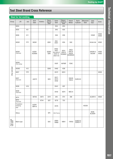|                          | <b>OLGGT TOT TIOL IIIOIUIIIY</b>    |                 |                 |         |                           |                                                            |                                   |                                                |                    |                     |                              |               |
|--------------------------|-------------------------------------|-----------------|-----------------|---------|---------------------------|------------------------------------------------------------|-----------------------------------|------------------------------------------------|--------------------|---------------------|------------------------------|---------------|
| Group                    | <b>JIS</b>                          | AISI            | Aichi<br>Steel  | Kobelco | Sanyo<br>Special<br>Steel | Daido<br>Steel                                             | Nippon<br>Koshuha<br><b>Steel</b> | Hitachi<br><b>Metals</b>                       | Nachi<br>Fujikoshi | Mitsubishi<br>Steel | Udde<br>Hdm                  | <b>Bohler</b> |
|                          | SKD4                                |                 |                 |         |                           | DH4                                                        | KD4                               |                                                |                    |                     |                              |               |
|                          | SKD5                                | H <sub>21</sub> |                 |         |                           | DH <sub>5</sub>                                            | KD <sub>5</sub>                   |                                                |                    |                     |                              |               |
|                          | SKD6                                | H11             |                 |         |                           | DH <sub>6</sub>                                            | KD6                               |                                                |                    |                     | <b>VIDAR</b>                 | W300<br>W400  |
|                          | SKD61                               | H <sub>13</sub> | SKD61           |         | QD61                      | DHA<br>DHA1                                                | KDA                               | DAC                                            |                    |                     | ORVAR-2M                     | W302          |
|                          | SKD61<br>(Improved)                 |                 | AUD61<br>AUD60A |         | QDA61<br>QDN              | DHA <sub>2</sub><br>DH21<br>DHA-WORLD<br>DH31-S<br>DH31-EX | KDA1<br>KDA1S<br>KDAMAX           | DAC <sub>3</sub><br>DAC10<br>DAC55<br>DACMAGIC |                    |                     | ORVAR-S<br><b>DIEVAR</b>     | W303<br>W403  |
|                          | SKD61<br>(Free cutting)             |                 |                 |         |                           | DH <sub>2</sub> F                                          | KAP90F                            | FDAC                                           |                    |                     |                              |               |
|                          | SKD62                               | H <sub>12</sub> |                 |         | QD62                      | DH62                                                       | KDB                               |                                                |                    |                     |                              |               |
| Alloy tool steel         | SKD7                                | H10             |                 |         |                           | DH72                                                       | KDH1                              |                                                |                    |                     |                              | W320          |
|                          | SKD7<br>(Improved)                  |                 | AUD72           |         | QDH                       | <b>DH71</b><br>DH73<br>DH32                                |                                   | DAC40<br>YEM-K                                 | DURO-N1            |                     |                              |               |
|                          | SKD8                                | H <sub>19</sub> |                 |         |                           | DH41                                                       | <b>KDF</b>                        |                                                |                    |                     |                              |               |
|                          | SKD8<br>(Improved)                  |                 |                 |         |                           | DH42                                                       | KDF4                              | MDC-K                                          |                    |                     |                              |               |
|                          | SKT4                                |                 | SKT4A           | SKT4    | QT41                      | GFA                                                        | <b>KTV</b>                        | DM                                             |                    |                     | ALVAR14                      | W500          |
|                          | SKT4<br>(Improved)                  |                 |                 | KTH4    | QDT                       | GF78                                                       | TD <sub>3</sub>                   |                                                |                    |                     |                              |               |
|                          | Precipitation<br>hardening<br>steel |                 | AUD91<br>MPH-K  |         |                           | <b>DH76</b>                                                |                                   |                                                |                    | HD22B               |                              |               |
|                          | Others                              |                 |                 |         | QF5                       | DHA-Thermo                                                 |                                   |                                                |                    |                     | <b>BURE</b><br><b>BLADER</b> |               |
| High speed<br>tool steel | Matrix type                         |                 |                 |         | QHZ                       | DRM1<br>DRM2                                               | KMX1                              | YXR33                                          | DURO-FZ<br>DURO-F1 |                     |                              |               |

## **Steel for hot molding**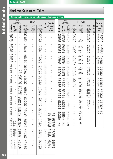# **Hardness Conversion Table**

#### **Approximate conversion value for vickers hardness of steel**

|                                      | <b>Brinell</b><br>10mm ball<br>Load 3,000 kgf                                                  |                                                                                                       |                                                                | Rockwell                                                                                                     |                                                                  |                                                                        | Tensile                                                       |                                 | 10mm ball                       | <b>Brinell</b><br>Load 3,000 kgf         |                                                                | Rockwell                                                                     |                                                                  |                                                                                       | <b>Tensile</b>                                                     |
|--------------------------------------|------------------------------------------------------------------------------------------------|-------------------------------------------------------------------------------------------------------|----------------------------------------------------------------|--------------------------------------------------------------------------------------------------------------|------------------------------------------------------------------|------------------------------------------------------------------------|---------------------------------------------------------------|---------------------------------|---------------------------------|------------------------------------------|----------------------------------------------------------------|------------------------------------------------------------------------------|------------------------------------------------------------------|---------------------------------------------------------------------------------------|--------------------------------------------------------------------|
| Vickers<br>HV                        | Standard<br>ball                                                                               | lisd<br>Tungsten<br>carbide ba<br><b>HB</b>                                                           | A scale<br>Load<br>60 kgf<br>120°diamond<br>cone<br><b>HRA</b> | <b>B</b> scale<br>Load<br>100 kgf<br>$1/16$ inch<br>steel ball<br><b>HRB</b>                                 | C scale<br>Load<br>150 kgf<br>120° diamond<br>cone<br><b>HRC</b> | Shore<br><b>HS</b>                                                     | strength<br><b>MPa</b><br>(kgf/2)                             | Vickers<br>HV                   | Standard<br>  ball              | :Tungsten<br>i carbide ball<br><b>HB</b> | A scale<br>Load<br>60 kgf<br>120°diamond<br>cone<br><b>HRA</b> | <b>B</b> scale<br>Load<br>100 kgf<br>$1/16$ inch<br>steel ball<br><b>HRB</b> | C scale<br>Load<br>150 kgf<br>120° diamond<br>cone<br><b>HRC</b> | Shore<br><b>HS</b>                                                                    | strength<br><b>MPa</b><br>(kgf/2)                                  |
| 1900<br>1800<br>1700<br>1600<br>1500 | $\qquad \qquad -$                                                                              | $\overline{\phantom{0}}$<br>$\qquad \qquad -$<br>$\overline{\phantom{0}}$<br>$\overline{\phantom{0}}$ | 93.1<br>92.6<br>91.9<br>91.3<br>90.5                           | $\overline{\phantom{0}}$<br>$\overline{\phantom{0}}$<br>$\overline{\phantom{0}}$<br>$\overline{\phantom{0}}$ | 80.5<br>79.2<br>77.9<br>76.6<br>75.3                             | $\overline{\phantom{0}}$                                               | $\overline{\phantom{0}}$<br>$\overline{\phantom{0}}$<br>-     | 420<br>410<br>400<br>390<br>380 | 397<br>388<br>379<br>369<br>360 | 397<br>388<br>379<br>369<br>360          | 71.8<br>71.4<br>70.8<br>70.3<br>69.8                           | $\overline{\phantom{0}}$<br>$\overline{\phantom{0}}$<br>(110.0)              | 42.7<br>41.8<br>40.8<br>39.8<br>38.8                             | 57<br>$\overline{\phantom{0}}$<br>55<br>$\qquad \qquad -$<br>52                       | 1370 (140)<br>1330 (136)<br>1290 (131)<br>1240 (127)<br>1205 (123) |
| 1450<br>1400<br>1350<br>1300<br>1250 | $\qquad \qquad -$<br>$\qquad \qquad -$                                                         | $\overline{\phantom{0}}$                                                                              | 90.1<br>89.6<br>89.1<br>88.7<br>88.3                           | $\overline{\phantom{0}}$<br>$\overline{\phantom{0}}$                                                         | 74.6<br>74.0<br>73.4<br>72.7<br>72.1                             | $\overline{\phantom{0}}$<br>$\overline{\phantom{0}}$                   | $\overline{\phantom{0}}$                                      | 370<br>360<br>350<br>340<br>330 | 350<br>341<br>331<br>322<br>313 | 350<br>341<br>331<br>322<br>313          | 69.2<br>68.7<br>68.1<br>67.6<br>67.0                           | (119.0)<br>(108.0)                                                           | 37.7<br>36.6<br>35.5<br>34.4<br>33.3                             | $\overline{\phantom{a}}$<br>50<br>$\qquad \qquad -$<br>47<br>$\overline{\phantom{0}}$ | 1170 (120)<br>1130 (115)<br>1095 (112)<br>1070 (109)<br>1035 (105) |
| 1200<br>1150<br>1100<br>1050<br>1000 | $\overline{\phantom{0}}$<br>$\qquad \qquad -$<br>$\overline{\phantom{0}}$                      | —<br>$\overline{\phantom{0}}$<br>—                                                                    | 87.9<br>87.5<br>87.1<br>86.6<br>86.2                           | $\overline{\phantom{0}}$                                                                                     | 71.5<br>70.9<br>70.3<br>69.6<br>68.9                             | $\overline{\phantom{0}}$                                               | $\overline{\phantom{0}}$<br>$\overline{\phantom{0}}$          | 320<br>310<br>300<br>295<br>290 | 303<br>294<br>284<br>280<br>275 | 303<br>294<br>284<br>280<br>275          | 66.4<br>65.8<br>65.2<br>64.8<br>64.5                           | (107.0)<br>(105.5)<br>(104.5)                                                | 32.2<br>31.0<br>29.8<br>29.2<br>28.5                             | 45<br>$\overline{\phantom{0}}$<br>42<br>$\overline{\phantom{0}}$<br>41                | 1005 (103)<br>980 (100)<br>950 (97)<br>935(96)<br>915 (94)         |
| 940<br>920<br>900<br>880<br>860      | $\overline{\phantom{0}}$<br>$\qquad \qquad -$<br>$\qquad \qquad -$<br>$\qquad \qquad -$        | $\overline{\phantom{0}}$<br>(767)<br>(757)                                                            | 85.6<br>85.3<br>85.0<br>84.7<br>84.4                           | $\overline{\phantom{0}}$<br>$\overline{\phantom{0}}$                                                         | 68.0<br>67.5<br>67.0<br>66.4<br>65.9                             | 97<br>96<br>95<br>93<br>92                                             | $\overline{\phantom{0}}$                                      | 285<br>280<br>275<br>270        | 270<br>265<br>261<br>256        | 270<br>265<br>261<br>256                 | 64.2<br>63.8<br>63.5<br>63.1                                   | (103.5)<br>(102.0)                                                           | 27.8<br>27.1<br>26.4<br>25.6<br>24.8                             | 40<br>$\overline{\phantom{0}}$<br>38                                                  | 905 (92)<br>890(91)<br>875 (89)<br>855 (87)                        |
| 840<br>820<br>800<br>780<br>760      | -<br>$\qquad \qquad -$<br>$\qquad \qquad -$<br>$\qquad \qquad -$                               | (745)<br>(733)<br>(722)<br>(710)<br>(698)                                                             | 84.1<br>83.8<br>83.4<br>83.0<br>82.6                           | -<br>$\overline{\phantom{0}}$<br>$\overline{\phantom{0}}$                                                    | 65.3<br>64.7<br>64.0<br>63.3<br>62.5                             | 91<br>90<br>88<br>87<br>86                                             | $\overline{\phantom{0}}$<br>$\overline{\phantom{0}}$          | 265<br>260<br>255<br>250<br>245 | 252<br>247<br>243<br>238<br>233 | 252<br>247<br>243<br>238<br>233          | 62.7<br>62.4<br>62.0<br>61.6<br>61.2                           | (101.0)<br>99.5                                                              | 24.0<br>23.1<br>22.2<br>21.3                                     | 37<br>$\overline{\phantom{0}}$<br>36<br>$\qquad \qquad -$                             | 840 (86)<br>825 (84)<br>805 (82)<br>795 (81)<br>780 (79)           |
| 740<br>720<br>700<br>690<br>680      | $\qquad \qquad -$<br>$\qquad \qquad -$<br>$\qquad \qquad -$<br>$\qquad \qquad -$               | (684)<br>(670)<br>(656)<br>(647)<br>(638)                                                             | 82.2<br>81.8<br>81.3<br>81.1<br>80.8                           | $\overline{\phantom{0}}$<br>$\overline{\phantom{0}}$                                                         | 61.8<br>61.0<br>60.1<br>59.7<br>59.2                             | 84<br>83<br>81<br>$\overline{\phantom{0}}$<br>80                       | $\overline{\phantom{0}}$                                      | 240<br>230<br>220<br>210<br>200 | 228<br>219<br>209<br>200<br>190 | 228<br>219<br>209<br>200<br>190          | 60.7<br>-<br>—<br>-<br>$\overline{\phantom{0}}$                | 98.1<br>96.7<br>95.0<br>93.4<br>91.5                                         | 20.3<br>(18.0)<br>(15.7)<br>(13.4)<br>(11.0)                     | 34<br>33<br>32<br>30<br>29                                                            | 765 (78)<br>730 (75)<br>695 (71)<br>670 (68)<br>635 (65)           |
| 670<br>660<br>650<br>640<br>630      | $\qquad \qquad -$<br>$\overline{\phantom{0}}$<br>$\qquad \qquad -$<br>$\overline{\phantom{0}}$ | 630<br>620<br>611<br>601<br>591                                                                       | 80.6<br>80.3<br>80.0<br>79.8<br>79.5                           | $\overline{\phantom{0}}$<br>$\overline{\phantom{0}}$                                                         | 58.8<br>58.3<br>57.8<br>57.3<br>56.8                             | 79<br>$\overline{\phantom{m}}$<br>77                                   | $\overline{\phantom{0}}$                                      | 190<br>180<br>170<br>160        | 181<br>171<br>162<br>152        | 181<br>171<br>162<br>152                 | <u>.</u><br>-<br>۰                                             | 89.5<br>87.1<br>85.0<br>81.7                                                 | (8.5)<br>(6.0)<br>(3.O)<br>(0.0)                                 | 28<br>26<br>25<br>24                                                                  | 605 (62)<br>580 (59)<br>545 (56)<br>515(53)<br>490 (50)            |
| 620<br>610<br>600<br>590<br>580      | $\qquad \qquad -$<br>$\qquad \qquad -$<br>$\overline{\phantom{0}}$                             | 582<br>573<br>564<br>554<br>545                                                                       | 79.2<br>78.6<br>78.9<br>78.4<br>78.0                           | -<br>$\overline{\phantom{0}}$                                                                                | 56.3<br>55.7<br>55.2<br>54.7<br>54.1                             | 75<br>$\overline{\phantom{0}}$<br>74<br>$\overline{\phantom{m}}$<br>72 | 2055(210)<br>2020(206)                                        | 150<br>140<br>130<br>120<br>110 | 143<br>133<br>124<br>114<br>105 | 143<br>133<br>124<br>114<br>105          | $\overline{\phantom{0}}$<br>-<br>-<br>$\overline{\phantom{0}}$ | 78.7<br>75.0<br>71.2<br>66.7<br>62.3                                         |                                                                  | 22<br>21<br>20                                                                        | 455 (46)<br>425 (44)<br>390(40)                                    |
| 570<br>560<br>550<br>540             | (505)<br>(496)<br>530 (488)                                                                    | 535<br>525<br>517<br>507<br>497                                                                       | 77.8<br>77.4<br>77.0<br>76.7<br>76.4                           | $\overline{\phantom{0}}$<br>$\overline{\phantom{0}}$<br>—<br>$\overline{\phantom{0}}$                        | 53.6<br>53.0<br>52.3<br>51.7<br>51.1                             | 71<br>69                                                               | 1985(202)<br>1950(199)<br>1905(194)<br>1860(190)<br>1825(186) | 100<br>95<br>90<br>85           | 95<br>90<br>86<br>81            | 95<br>90<br>86<br>81                     | $\overline{\phantom{0}}$<br>-                                  | 56.2<br>52.0<br>48.0<br>41.0                                                 |                                                                  |                                                                                       |                                                                    |
| 520<br>510<br>500<br>490<br>480      | (480)<br>(473)<br>(465)<br>(456)<br>448                                                        | 498<br>479<br>471<br>460<br>452                                                                       | 76.1<br>75.7<br>75.3<br>74.9<br>74.5                           | $\overline{\phantom{0}}$<br>$\overline{\phantom{0}}$<br><sup>-</sup>                                         | 50.5<br>49.8<br>49.1<br>48.4<br>47.7                             | 67<br>66<br>64                                                         | 1795(183)<br>1750(179)<br>1750(174)<br>1660(169)<br>1620(165) |                                 |                                 |                                          |                                                                |                                                                              |                                                                  |                                                                                       |                                                                    |
| 470<br>460<br>450<br>440<br>430      | 441<br>433<br>425<br>415<br>405                                                                | 442<br>433<br>425<br>415<br>405                                                                       | 74.1<br>73.6<br>73.3<br>72.8<br>72.3                           | —<br><sup>-</sup><br>$\overline{\phantom{0}}$                                                                | 46.9<br>46.1<br>45.3<br>44.5<br>43.6                             | 62<br>$\overline{\phantom{m}}$<br>59                                   | 1570(160)<br>1530(156)<br>1495(153)<br>1460(149)<br>1410(144) |                                 |                                 |                                          |                                                                |                                                                              |                                                                  |                                                                                       |                                                                    |